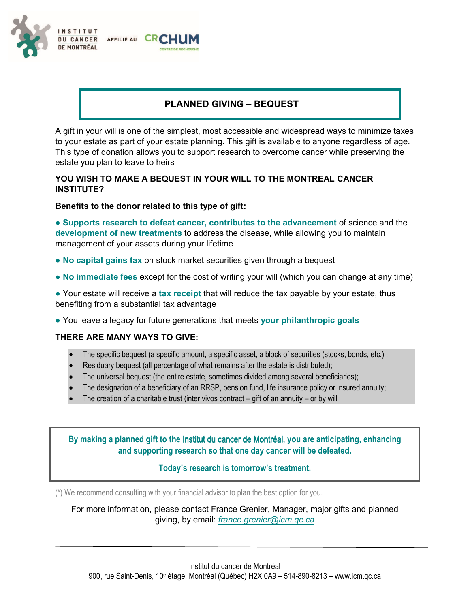

## **PLANNED GIVING – BEQUEST**

A gift in your will is one of the simplest, most accessible and widespread ways to minimize taxes to your estate as part of your estate planning. This gift is available to anyone regardless of age. This type of donation allows you to support research to overcome cancer while preserving the estate you plan to leave to heirs

## **YOU WISH TO MAKE A BEQUEST IN YOUR WILL TO THE MONTREAL CANCER INSTITUTE?**

## **Benefits to the donor related to this type of gift:**

● **Supports research to defeat cancer, contributes to the advancement** of science and the **development of new treatments** to address the disease, while allowing you to maintain management of your assets during your lifetime

- No capital gains tax on stock market securities given through a bequest
- **No immediate fees** except for the cost of writing your will (which you can change at any time)

● Your estate will receive a **tax receipt** that will reduce the tax payable by your estate, thus benefiting from a substantial tax advantage

● You leave a legacy for future generations that meets **your philanthropic goals**

## **THERE ARE MANY WAYS TO GIVE:**

- The specific bequest (a specific amount, a specific asset, a block of securities (stocks, bonds, etc.);
- Residuary bequest (all percentage of what remains after the estate is distributed);
- The universal bequest (the entire estate, sometimes divided among several beneficiaries);
- The designation of a beneficiary of an RRSP, pension fund, life insurance policy or insured annuity;
- The creation of a charitable trust (inter vivos contract gift of an annuity or by will

**By making a planned gift to the** Institut du cancer de Montréal**, you are anticipating, enhancing and supporting research so that one day cancer will be defeated.** 

## **Today's research is tomorrow's treatment.**

(\*) We recommend consulting with your financial advisor to plan the best option for you.

For more information, please contact France Grenier, Manager, major gifts and planned giving, by email: *france.grenier@icm.qc.ca*